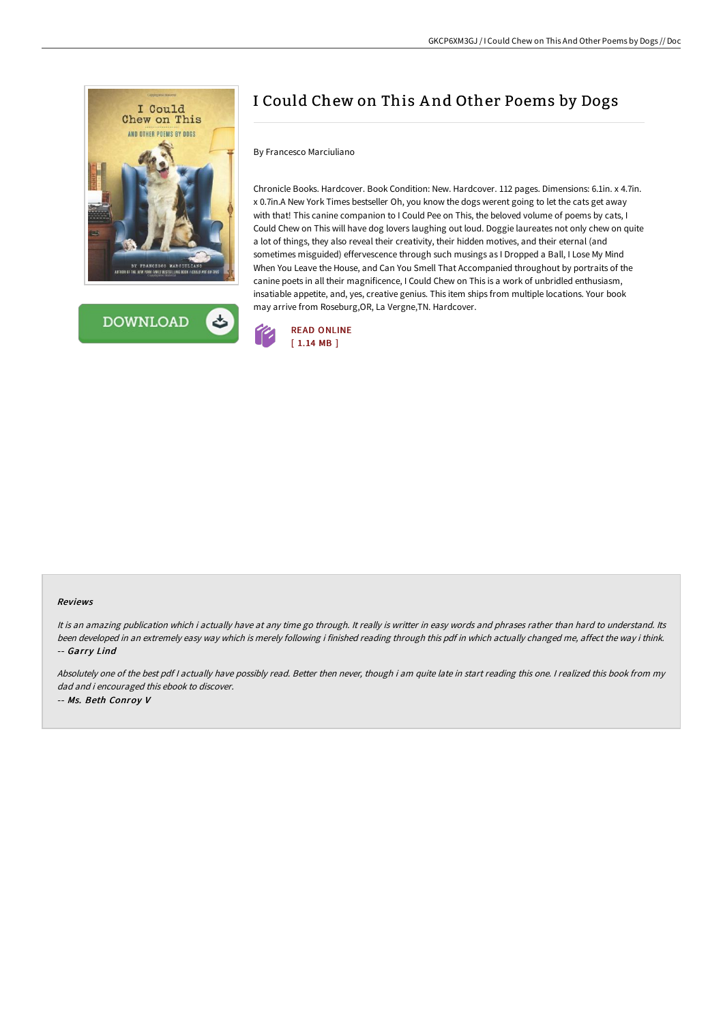



## I Could Chew on This A nd Other Poems by Dogs

## By Francesco Marciuliano

Chronicle Books. Hardcover. Book Condition: New. Hardcover. 112 pages. Dimensions: 6.1in. x 4.7in. x 0.7in.A New York Times bestseller Oh, you know the dogs werent going to let the cats get away with that! This canine companion to I Could Pee on This, the beloved volume of poems by cats, I Could Chew on This will have dog lovers laughing out loud. Doggie laureates not only chew on quite a lot of things, they also reveal their creativity, their hidden motives, and their eternal (and sometimes misguided) effervescence through such musings as I Dropped a Ball, I Lose My Mind When You Leave the House, and Can You Smell That Accompanied throughout by portraits of the canine poets in all their magnificence, I Could Chew on This is a work of unbridled enthusiasm, insatiable appetite, and, yes, creative genius. This item ships from multiple locations. Your book may arrive from Roseburg,OR, La Vergne,TN. Hardcover.



## Reviews

It is an amazing publication which i actually have at any time go through. It really is writter in easy words and phrases rather than hard to understand. Its been developed in an extremely easy way which is merely following i finished reading through this pdf in which actually changed me, affect the way i think. -- Garry Lind

Absolutely one of the best pdf <sup>I</sup> actually have possibly read. Better then never, though i am quite late in start reading this one. <sup>I</sup> realized this book from my dad and i encouraged this ebook to discover. -- Ms. Beth Conroy V